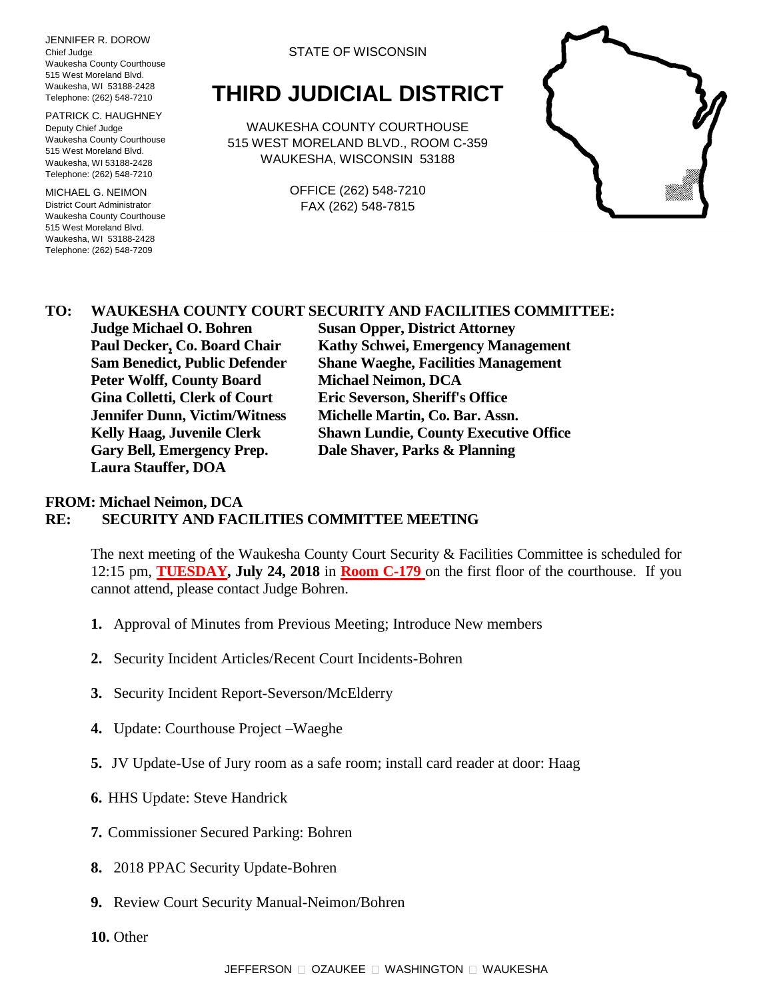JENNIFER R. DOROW Chief Judge Waukesha County Courthouse 515 West Moreland Blvd. Waukesha, WI 53188-2428 Telephone: (262) 548-7210

PATRICK C. HAUGHNEY Deputy Chief Judge Waukesha County Courthouse 515 West Moreland Blvd. Waukesha, WI 53188-2428 Telephone: (262) 548-7210

MICHAEL G. NEIMON District Court Administrator Waukesha County Courthouse 515 West Moreland Blvd. Waukesha, WI 53188-2428 Telephone: (262) 548-7209

#### STATE OF WISCONSIN

# **THIRD JUDICIAL DISTRICT**

WAUKESHA COUNTY COURTHOUSE 515 WEST MORELAND BLVD., ROOM C-359 WAUKESHA, WISCONSIN 53188

> OFFICE (262) 548-7210 FAX (262) 548-7815



### **TO: WAUKESHA COUNTY COURT SECURITY AND FACILITIES COMMITTEE:**

**Peter Wolff, County Board Michael Neimon, DCA Gina Colletti, Clerk of Court Eric Severson, Sheriff's Office Jennifer Dunn, Victim/Witness Michelle Martin, Co. Bar. Assn. Gary Bell, Emergency Prep. Dale Shaver, Parks & Planning Laura Stauffer, DOA**

**Judge Michael O. Bohren Susan Opper, District Attorney Paul Decker, Co. Board Chair Kathy Schwei, Emergency Management Sam Benedict, Public Defender Shane Waeghe, Facilities Management Kelly Haag, Juvenile Clerk Shawn Lundie, County Executive Office**

#### **FROM: Michael Neimon, DCA RE: SECURITY AND FACILITIES COMMITTEE MEETING**

The next meeting of the Waukesha County Court Security & Facilities Committee is scheduled for 12:15 pm, **TUESDAY, July 24, 2018** in **Room C-179** on the first floor of the courthouse. If you cannot attend, please contact Judge Bohren.

- **1.** Approval of Minutes from Previous Meeting; Introduce New members
- **2.** Security Incident Articles/Recent Court Incidents-Bohren
- **3.** Security Incident Report-Severson/McElderry
- **4.** Update: Courthouse Project –Waeghe
- **5.** JV Update-Use of Jury room as a safe room; install card reader at door: Haag
- **6.** HHS Update: Steve Handrick
- **7.** Commissioner Secured Parking: Bohren
- **8.** 2018 PPAC Security Update-Bohren
- **9.** Review Court Security Manual-Neimon/Bohren
- **10.** Other